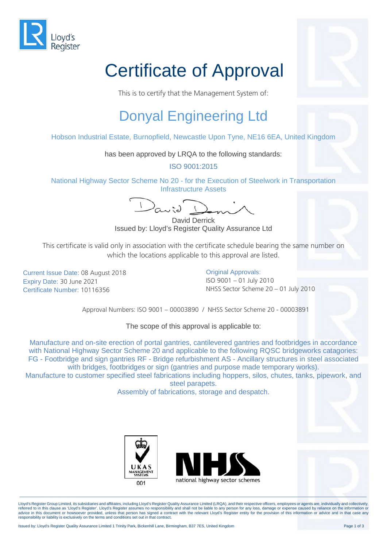

## Certificate of Approval

This is to certify that the Management System of:

## Donyal Engineering Ltd

Hobson Industrial Estate, Burnopfield, Newcastle Upon Tyne, NE16 6EA, United Kingdom

has been approved by LRQA to the following standards:

ISO 9001:2015

National Highway Sector Scheme No 20 - for the Execution of Steelwork in Transportation Infrastructure Assets

David Derrick Issued by: Lloyd's Register Quality Assurance Ltd

This certificate is valid only in association with the certificate schedule bearing the same number on which the locations applicable to this approval are listed.

Current Issue Date: 08 August 2018 Expiry Date: 30 June 2021 Certificate Number: 10116356

**Original Approvals:** ISO 9001 – 01 July 2010 NHSS Sector Scheme 20 – 01 July 2010

Approval Numbers: ISO 9001 – 00003890 / NHSS Sector Scheme 20 - 00003891

The scope of this approval is applicable to:

Manufacture and on-site erection of portal gantries, cantilevered gantries and footbridges in accordance with National Highway Sector Scheme 20 and applicable to the following RQSC bridgeworks catagories: FG - Footbridge and sign gantries RF - Bridge refurbishment AS - Ancillary structures in steel associated with bridges, footbridges or sign (gantries and purpose made temporary works).

Manufacture to customer specified steel fabrications including hoppers, silos, chutes, tanks, pipework, and steel parapets.

Assembly of fabrications, storage and despatch.





Lloyd's Register Group Limited, its subsidiaries and affiliates, including Lloyd's Register Quality Assurance Limited (LRQA), and their respective officers, employees or agents are, individually and collectively, referred to in this clause as 'Lloyd's Register'. Lloyd's Register assumes no responsibility and shall not be liable to any person for any loss, damage or expense caused by reliance on the information or<br>advice in this doc responsibility or liability is exclusively on the terms and conditions set out in that contract.

\_\_\_\_\_\_\_\_\_\_\_\_\_\_\_\_\_\_\_\_\_\_\_\_\_\_\_\_\_\_\_\_\_\_\_\_\_\_\_\_\_\_\_\_\_\_\_\_\_\_\_\_\_\_\_\_\_\_\_\_\_\_\_\_\_\_\_\_\_\_\_\_\_\_\_\_\_\_\_\_\_\_\_\_\_\_\_\_\_\_\_\_\_\_\_\_\_\_\_\_\_\_\_\_\_\_\_\_\_\_\_\_\_\_\_\_\_\_\_\_\_\_\_\_\_\_\_\_\_\_\_\_\_\_\_\_\_\_\_\_\_\_\_\_\_\_\_\_\_\_\_\_\_\_\_\_\_\_\_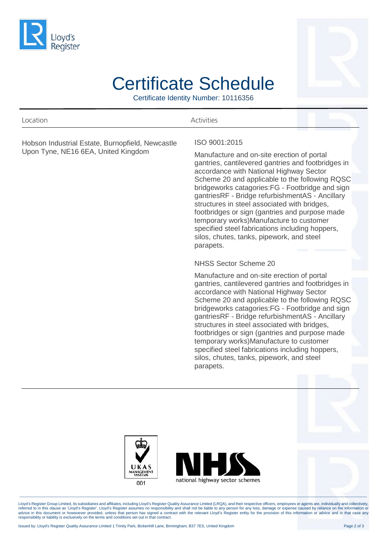



## Certificate Schedule

Certificate Identity Number: 10116356

| Location                                                                                | <b>Activities</b>                                                                                                                                                                                                                                                                                                                                                                                                                                                                                               |  |
|-----------------------------------------------------------------------------------------|-----------------------------------------------------------------------------------------------------------------------------------------------------------------------------------------------------------------------------------------------------------------------------------------------------------------------------------------------------------------------------------------------------------------------------------------------------------------------------------------------------------------|--|
| Hobson Industrial Estate, Burnopfield, Newcastle<br>Upon Tyne, NE16 6EA, United Kingdom | ISO 9001:2015<br>Manufacture and on-site erection of portal<br>gantries, cantilevered gantries and footbridges in<br>accordance with National Highway Sector<br>Scheme 20 and applicable to the following RQSC<br>bridgeworks catagories: FG - Footbridge and sign                                                                                                                                                                                                                                              |  |
|                                                                                         | gantriesRF - Bridge refurbishmentAS - Ancillary<br>structures in steel associated with bridges,<br>footbridges or sign (gantries and purpose made<br>temporary works)Manufacture to customer<br>specified steel fabrications including hoppers,<br>silos, chutes, tanks, pipework, and steel<br>parapets.                                                                                                                                                                                                       |  |
|                                                                                         | NHSS Sector Scheme 20                                                                                                                                                                                                                                                                                                                                                                                                                                                                                           |  |
|                                                                                         | Manufacture and on-site erection of portal                                                                                                                                                                                                                                                                                                                                                                                                                                                                      |  |
|                                                                                         | gantries, cantilevered gantries and footbridges in<br>accordance with National Highway Sector<br>Scheme 20 and applicable to the following RQSC<br>bridgeworks catagories:FG - Footbridge and sign<br>gantriesRF - Bridge refurbishmentAS - Ancillary<br>structures in steel associated with bridges,<br>footbridges or sign (gantries and purpose made<br>temporary works)Manufacture to customer<br>specified steel fabrications including hoppers,<br>silos, chutes, tanks, pipework, and steel<br>parapets. |  |





Lloyd's Register Group Limited, its subsidiaries and affiliates, including Lloyd's Register Quality Assurance Limited (LRQA), and their respective officers, employees or agents are, individually and collectively,<br>referred

\_\_\_\_\_\_\_\_\_\_\_\_\_\_\_\_\_\_\_\_\_\_\_\_\_\_\_\_\_\_\_\_\_\_\_\_\_\_\_\_\_\_\_\_\_\_\_\_\_\_\_\_\_\_\_\_\_\_\_\_\_\_\_\_\_\_\_\_\_\_\_\_\_\_\_\_\_\_\_\_\_\_\_\_\_\_\_\_\_\_\_\_\_\_\_\_\_\_\_\_\_\_\_\_\_\_\_\_\_\_\_\_\_\_\_\_\_\_\_\_\_\_\_\_\_\_\_\_\_\_\_\_\_\_\_\_\_\_\_\_\_\_\_\_\_\_\_\_\_\_\_\_\_\_\_\_\_\_\_